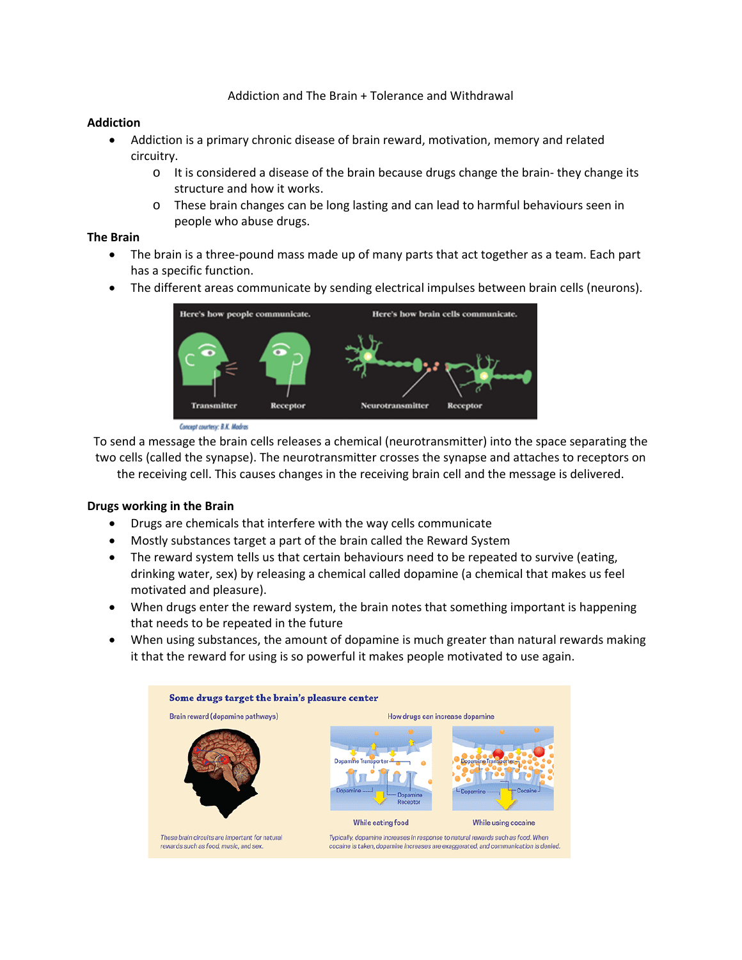#### Addiction and The Brain + Tolerance and Withdrawal

#### **Addiction**

- Addiction is a primary chronic disease of brain reward, motivation, memory and related circuitry.
	- $\circ$  It is considered a disease of the brain because drugs change the brain-they change its structure and how it works.
	- o These brain changes can be long lasting and can lead to harmful behaviours seen in people who abuse drugs.

#### **The Brain**

- The brain is a three-pound mass made up of many parts that act together as a team. Each part has a specific function.
- The different areas communicate by sending electrical impulses between brain cells (neurons).



Concept courtesy: B.K. Modros

To send a message the brain cells releases a chemical (neurotransmitter) into the space separating the two cells (called the synapse). The neurotransmitter crosses the synapse and attaches to receptors on the receiving cell. This causes changes in the receiving brain cell and the message is delivered.

#### **Drugs working in the Brain**

- Drugs are chemicals that interfere with the way cells communicate
- Mostly substances target a part of the brain called the Reward System
- The reward system tells us that certain behaviours need to be repeated to survive (eating, drinking water, sex) by releasing a chemical called dopamine (a chemical that makes us feel motivated and pleasure).
- When drugs enter the reward system, the brain notes that something important is happening that needs to be repeated in the future
- When using substances, the amount of dopamine is much greater than natural rewards making it that the reward for using is so powerful it makes people motivated to use again.

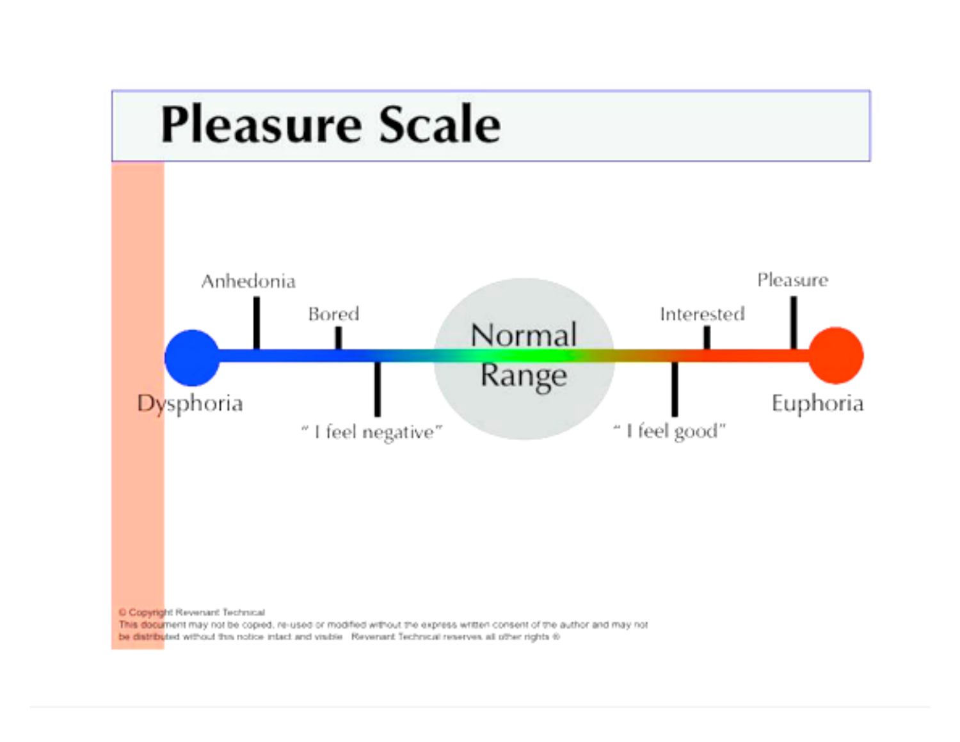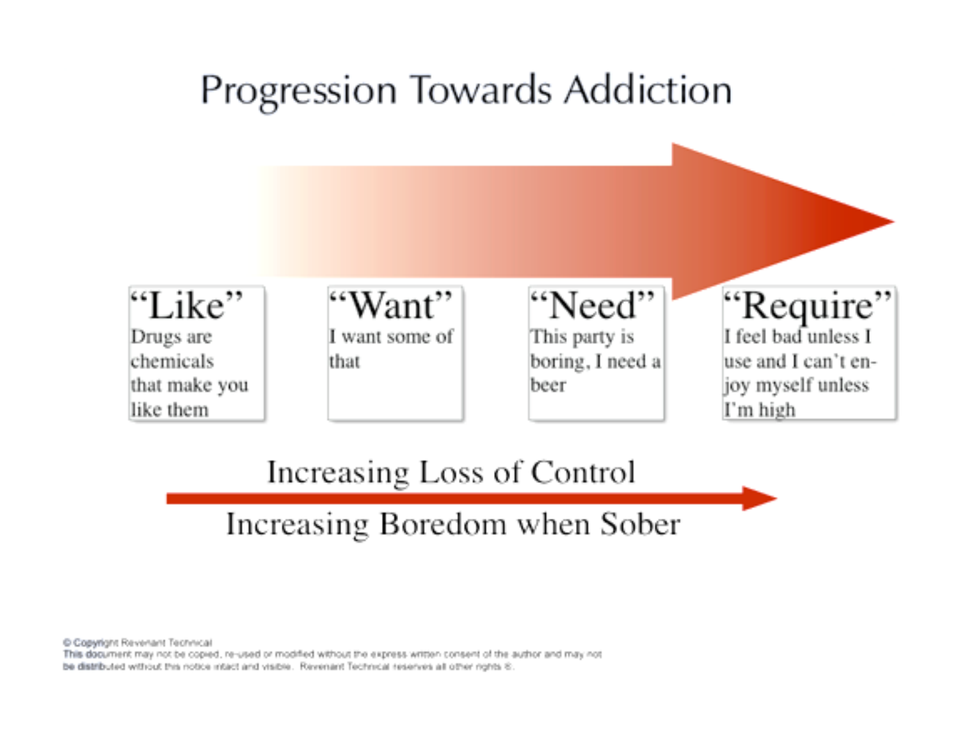

# Increasing Loss of Control

# Increasing Boredom when Sober

Copyright Revenant Technical

This document may not be copied, re-used or modified without the express written consent of the author and may not be distributed without this notice intact and visible. Revenant Technical reserves all other rights 6: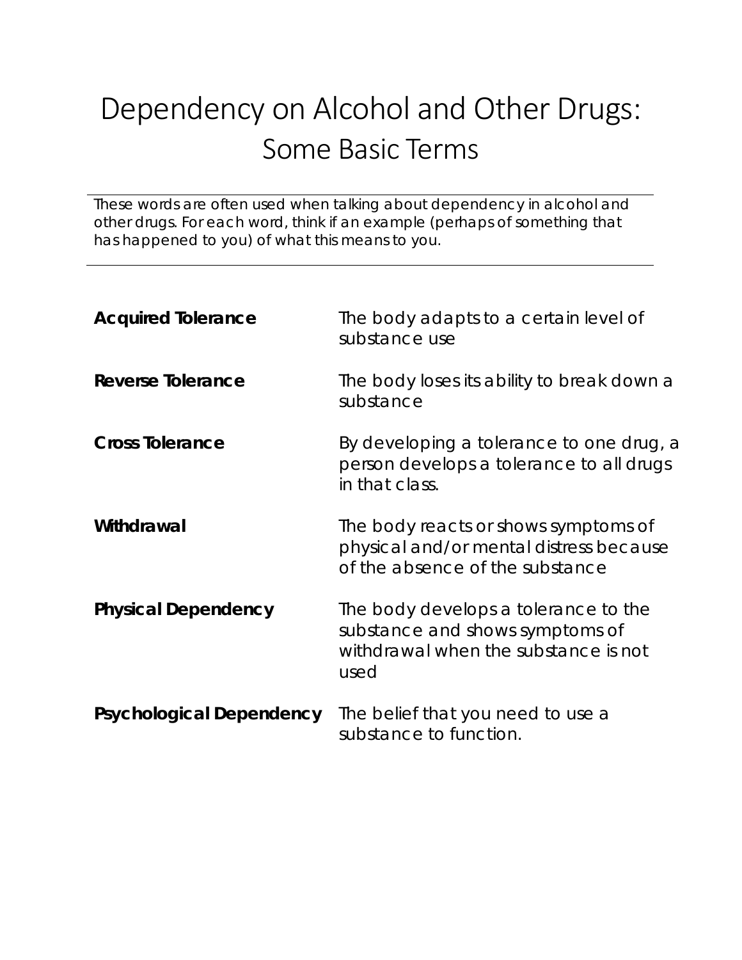# Dependency on Alcohol and Other Drugs: Some Basic Terms

These words are often used when talking about dependency in alcohol and other drugs. For each word, think if an example (perhaps of something that has happened to you) of what this means to you.

| <b>Acquired Tolerance</b>       | The body adapts to a certain level of<br>substance use                                                                  |
|---------------------------------|-------------------------------------------------------------------------------------------------------------------------|
| <b>Reverse Tolerance</b>        | The body loses its ability to break down a<br>substance                                                                 |
| <b>Cross Tolerance</b>          | By developing a tolerance to one drug, a<br>person develops a tolerance to all drugs<br>in that class.                  |
| Withdrawal                      | The body reacts or shows symptoms of<br>physical and/or mental distress because<br>of the absence of the substance      |
| <b>Physical Dependency</b>      | The body develops a tolerance to the<br>substance and shows symptoms of<br>withdrawal when the substance is not<br>used |
| <b>Psychological Dependency</b> | The belief that you need to use a<br>substance to function.                                                             |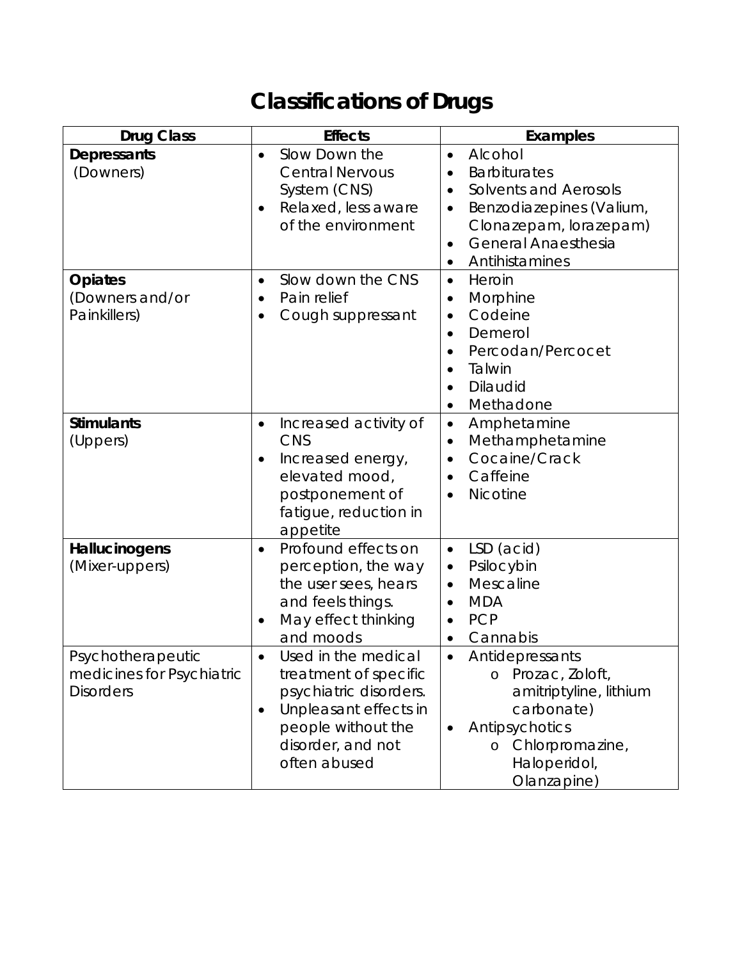# **Classifications of Drugs**

| <b>Drug Class</b>                                                  | <b>Effects</b>                                                                                                                                                                       | Examples                                                                                                                                                                                                                 |
|--------------------------------------------------------------------|--------------------------------------------------------------------------------------------------------------------------------------------------------------------------------------|--------------------------------------------------------------------------------------------------------------------------------------------------------------------------------------------------------------------------|
| <b>Depressants</b><br>(Downers)                                    | Slow Down the<br>$\bullet$<br><b>Central Nervous</b><br>System (CNS)<br>Relaxed, less aware<br>of the environment                                                                    | Alcohol<br>$\bullet$<br><b>Barbiturates</b><br><b>Solvents and Aerosols</b><br>$\bullet$<br>Benzodiazepines (Valium,<br>$\bullet$<br>Clonazepam, lorazepam)<br><b>General Anaesthesia</b><br>$\bullet$<br>Antihistamines |
| <b>Opiates</b><br>(Downers and/or<br>Painkillers)                  | Slow down the CNS<br>$\bullet$<br>Pain relief<br>$\bullet$<br>Cough suppressant<br>$\bullet$                                                                                         | Heroin<br>$\bullet$<br>Morphine<br>$\bullet$<br>Codeine<br>$\bullet$<br>Demerol<br>$\bullet$<br>Percodan/Percocet<br>$\bullet$<br>Talwin<br>$\bullet$<br>Dilaudid<br>Methadone                                           |
| <b>Stimulants</b><br>(Uppers)                                      | Increased activity of<br>$\bullet$<br><b>CNS</b><br>Increased energy,<br>elevated mood,<br>postponement of<br>fatigue, reduction in<br>appetite                                      | Amphetamine<br>$\bullet$<br>Methamphetamine<br>$\bullet$<br>Cocaine/Crack<br>$\bullet$<br>Caffeine<br><b>Nicotine</b><br>$\bullet$                                                                                       |
| Hallucinogens<br>(Mixer-uppers)                                    | Profound effects on<br>$\bullet$<br>perception, the way<br>the user sees, hears<br>and feels things.<br>May effect thinking<br>$\bullet$<br>and moods                                | LSD (acid)<br>$\bullet$<br>Psilocybin<br>$\bullet$<br>Mescaline<br>$\bullet$<br><b>MDA</b><br>$\bullet$<br><b>PCP</b><br>$\bullet$<br>Cannabis<br>$\bullet$                                                              |
| Psychotherapeutic<br>medicines for Psychiatric<br><b>Disorders</b> | Used in the medical<br>$\bullet$<br>treatment of specific<br>psychiatric disorders.<br>Unpleasant effects in<br>$\bullet$<br>people without the<br>disorder, and not<br>often abused | Antidepressants<br>$\bullet$<br>Prozac, Zoloft,<br>O<br>amitriptyline, lithium<br>carbonate)<br>Antipsychotics<br>$\bullet$<br>Chlorpromazine,<br>Haloperidol,<br>Olanzapine)                                            |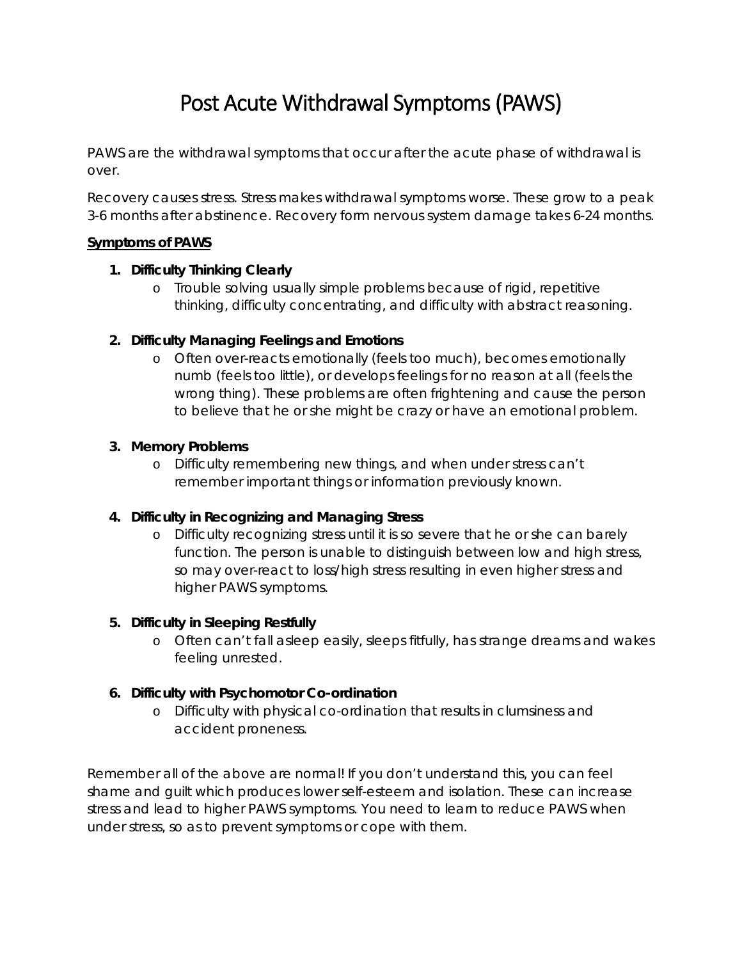## Post Acute Withdrawal Symptoms (PAWS)

PAWS are the withdrawal symptoms that occur after the acute phase of withdrawal is over.

Recovery causes stress. Stress makes withdrawal symptoms worse. These grow to a peak 3-6 months after abstinence. Recovery form nervous system damage takes 6-24 months.

#### **Symptoms of PAWS**

#### **1. Difficulty Thinking Clearly**

o Trouble solving usually simple problems because of rigid, repetitive thinking, difficulty concentrating, and difficulty with abstract reasoning.

## **2. Difficulty Managing Feelings and Emotions**

o Often over-reacts emotionally (feels too much), becomes emotionally numb (feels too little), or develops feelings for no reason at all (feels the wrong thing). These problems are often frightening and cause the person to believe that he or she might be crazy or have an emotional problem.

#### **3. Memory Problems**

o Difficulty remembering new things, and when under stress can't remember important things or information previously known.

## **4. Difficulty in Recognizing and Managing Stress**

o Difficulty recognizing stress until it is so severe that he or she can barely function. The person is unable to distinguish between low and high stress, so may over-react to loss/high stress resulting in even higher stress and higher PAWS symptoms.

## **5. Difficulty in Sleeping Restfully**

o Often can't fall asleep easily, sleeps fitfully, has strange dreams and wakes feeling unrested.

## **6. Difficulty with Psychomotor Co-ordination**

o Difficulty with physical co-ordination that results in clumsiness and accident proneness.

Remember all of the above are normal! If you don't understand this, you can feel shame and guilt which produces lower self-esteem and isolation. These can increase stress and lead to higher PAWS symptoms. You need to learn to reduce PAWS when under stress, so as to prevent symptoms or cope with them.